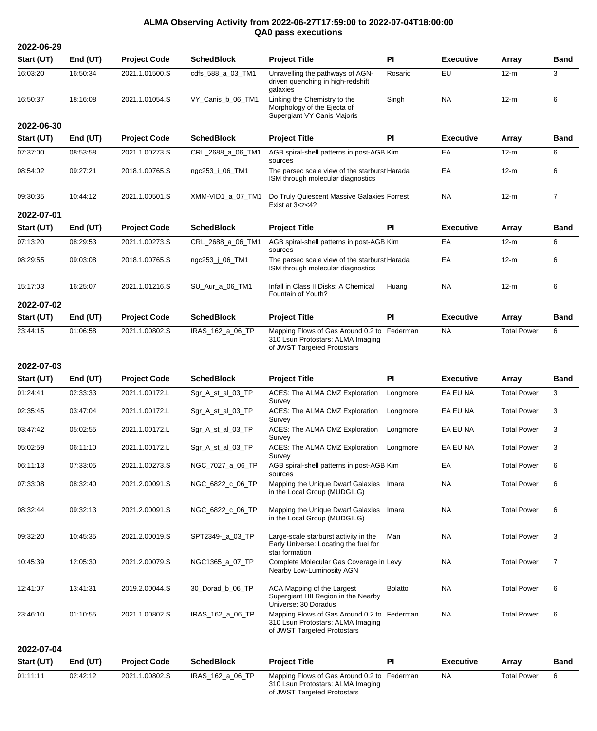## **ALMA Observing Activity from 2022-06-27T17:59:00 to 2022-07-04T18:00:00 QA0 pass executions**

**2022-06-29 Start (UT) End (UT) Project Code SchedBlock Project Title PI Executive Array Band** 16:03:20 16:50:34 2021.1.01500.S cdfs\_588\_a\_03\_TM1 Unravelling the pathways of AGNdriven quenching in high-redshift galaxies Rosario EU 12-m 3 16:50:37 18:16:08 2021.1.01054.S VY\_Canis\_b\_06\_TM1 Linking the Chemistry to the Morphology of the Ejecta of Supergiant VY Canis Majoris Singh NA 12-m 6 **2022-06-30 Start (UT) End (UT) Project Code SchedBlock Project Title PI Executive Array Band** 07:37:00 08:53:58 2021.1.00273.S CRL\_2688\_a\_06\_TM1 AGB spiral-shell patterns in post-AGB Kim sources Kim EA 12-m 6 08:54:02 09:27:21 2018.1.00765.S ngc253\_i\_06\_TM1 The parsec scale view of the starburst Harada EA 12-m 6 ISM through molecular diagnostics 09:30:35 10:44:12 2021.1.00501.S XMM-VID1\_a\_07\_TM1 Do Truly Quiescent Massive Galaxies Forrest NA 12-m 7 Exist at 3<z<4? **2022-07-01 Start (UT) End (UT) Project Code SchedBlock Project Title PI Executive Array Band** 07:13:20 08:29:53 2021.1.00273.S CRL\_2688\_a\_06\_TM1 AGB spiral-shell patterns in post-AGB Kim sources Kim EA 12-m 6 08:29:55 09:03:08 2018.1.00765.S ngc253\_j\_06\_TM1 The parsec scale view of the starburst Harada EA 12-m 6 ISM through molecular diagnostics 15:17:03 16:25:07 2021.1.01216.S SU\_Aur\_a\_06\_TM1 Infall in Class II Disks: A Chemical Fountain of Youth? Huang NA 12-m 6 **2022-07-02 Start (UT) End (UT) Project Code SchedBlock Project Title PI Executive Array Band** 23:44:15 01:06:58 2021.1.00802.S IRAS\_162\_a\_06\_TP Mapping Flows of Gas Around 0.2 to Federman 310 Lsun Protostars: ALMA Imaging of JWST Targeted Protostars NA Total Power 6

## **2022-07-03**

| Start (UT) | End (UT) | <b>Project Code</b> | <b>SchedBlock</b> | <b>Project Title</b>                                                                                            | PI             | <b>Executive</b> | Array              | <b>Band</b>    |
|------------|----------|---------------------|-------------------|-----------------------------------------------------------------------------------------------------------------|----------------|------------------|--------------------|----------------|
| 01:24:41   | 02:33:33 | 2021.1.00172.L      | Sgr_A_st_al_03_TP | ACES: The ALMA CMZ Exploration<br>Survey                                                                        | Longmore       | EA EU NA         | <b>Total Power</b> | 3              |
| 02:35:45   | 03:47:04 | 2021.1.00172.L      | Sgr_A_st_al_03_TP | ACES: The ALMA CMZ Exploration<br>Survey                                                                        | Longmore       | EA EU NA         | <b>Total Power</b> | 3              |
| 03:47:42   | 05:02:55 | 2021.1.00172.L      | Sgr_A_st_al_03_TP | ACES: The ALMA CMZ Exploration<br>Survey                                                                        | Longmore       | EA EU NA         | <b>Total Power</b> | 3              |
| 05:02:59   | 06:11:10 | 2021.1.00172.L      | Sgr_A_st_al_03_TP | ACES: The ALMA CMZ Exploration<br>Survey                                                                        | Longmore       | EA EU NA         | <b>Total Power</b> | 3              |
| 06:11:13   | 07:33:05 | 2021.1.00273.S      | NGC_7027_a_06_TP  | AGB spiral-shell patterns in post-AGB Kim<br>sources                                                            |                | EA               | <b>Total Power</b> | 6              |
| 07:33:08   | 08:32:40 | 2021.2.00091.S      | NGC 6822 c 06 TP  | Mapping the Unique Dwarf Galaxies<br>in the Local Group (MUDGILG)                                               | Imara          | <b>NA</b>        | <b>Total Power</b> | 6              |
| 08:32:44   | 09:32:13 | 2021.2.00091.S      | NGC_6822_c_06_TP  | Mapping the Unique Dwarf Galaxies<br>in the Local Group (MUDGILG)                                               | Imara          | <b>NA</b>        | <b>Total Power</b> | 6              |
| 09:32:20   | 10:45:35 | 2021.2.00019.S      | SPT2349- a 03 TP  | Large-scale starburst activity in the<br>Early Universe: Locating the fuel for<br>star formation                | Man            | <b>NA</b>        | <b>Total Power</b> | 3              |
| 10:45:39   | 12:05:30 | 2021.2.00079.S      | NGC1365 a 07 TP   | Complete Molecular Gas Coverage in Levy<br>Nearby Low-Luminosity AGN                                            |                | <b>NA</b>        | <b>Total Power</b> | $\overline{7}$ |
| 12:41:07   | 13:41:31 | 2019.2.00044.S      | 30 Dorad b 06 TP  | ACA Mapping of the Largest<br>Supergiant HII Region in the Nearby<br>Universe: 30 Doradus                       | <b>Bolatto</b> | <b>NA</b>        | <b>Total Power</b> | 6              |
| 23:46:10   | 01:10:55 | 2021.1.00802.S      | IRAS_162_a_06_TP  | Mapping Flows of Gas Around 0.2 to Federman<br>310 Lsun Protostars: ALMA Imaging<br>of JWST Targeted Protostars |                | <b>NA</b>        | <b>Total Power</b> | 6              |
| 2022-07-04 |          |                     |                   |                                                                                                                 |                |                  |                    |                |
| Start (UT) | End (UT) | <b>Project Code</b> | <b>SchedBlock</b> | <b>Project Title</b>                                                                                            | <b>PI</b>      | <b>Executive</b> | Array              | <b>Band</b>    |
| 01:11:11   | 02:42:12 | 2021.1.00802.S      | IRAS 162 a 06 TP  | Mapping Flows of Gas Around 0.2 to Federman                                                                     |                | <b>NA</b>        | <b>Total Power</b> | 6              |

310 Lsun Protostars: ALMA Imaging of JWST Targeted Protostars